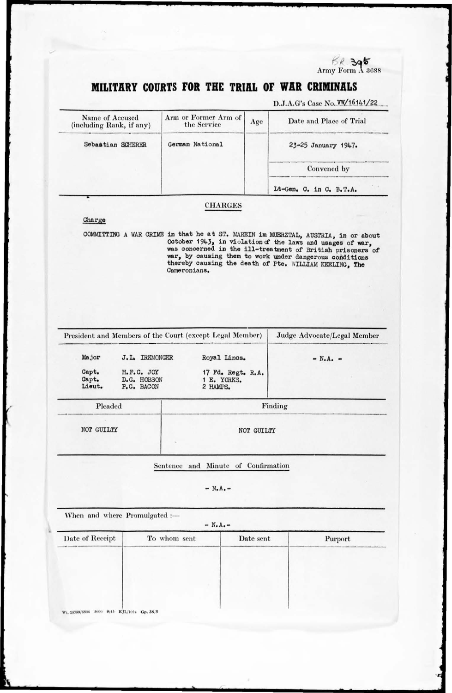$68.395$ <br>Army Form  $\Lambda$  3688

# MILITARY COURTS FOR THE TRIAL OF WAR CRIMINALS

D.J.A.G's Case No. VW/16141/22

| Name of Accused<br>(including Rank, if any) | Arm or Former Arm of<br>the Service | Age | Date and Place of Trial |
|---------------------------------------------|-------------------------------------|-----|-------------------------|
| Sebastian SCHERER                           | German National                     |     | 23-25 January 1947.     |
|                                             |                                     |     | Convened by             |
|                                             |                                     |     | Lt-Gen. C. in C. B.T.A. |

#### **CHARGES**

### Charge

COMMITTING A WAR CRIME in that he at ST. MAREIN im MUERZTAL, AUSTRIA, in or about October  $1943$ , in violation of the laws and usages of war, was concerned in the ill-treatment of British prisoners of war, by causing them to work under dangerous conditions thereby causing the death of Pte. WILLIAM KEELING, The Cameronians.

| President and Members of the Court (except Legal Member) |                          |                                         | Judge Advocate/Legal Member                  |            |
|----------------------------------------------------------|--------------------------|-----------------------------------------|----------------------------------------------|------------|
|                                                          | Major                    | J.L. IREMONGER                          | Royal Lincs.                                 | $- N.A. -$ |
|                                                          | Capt.<br>Capt.<br>Lieut. | H.F.C. JOY<br>D.G. HOBSON<br>P.G. BACON | 17 Fd. Regt. R.A.<br>1 E. YORKS.<br>2 HAMPS. |            |
| Pleaded                                                  |                          |                                         |                                              | Finding    |

NOT GUILTY

NOT GUILTY

Sentence and Minute of Confirmation

 $- N.A. -$ 

When and where Promulgated :- $- N.A. -$ Date of Receipt To whom sent Date sent Purport Wt. 25799/6800 5000 9/45 KJL/1094 Gp. 38/3